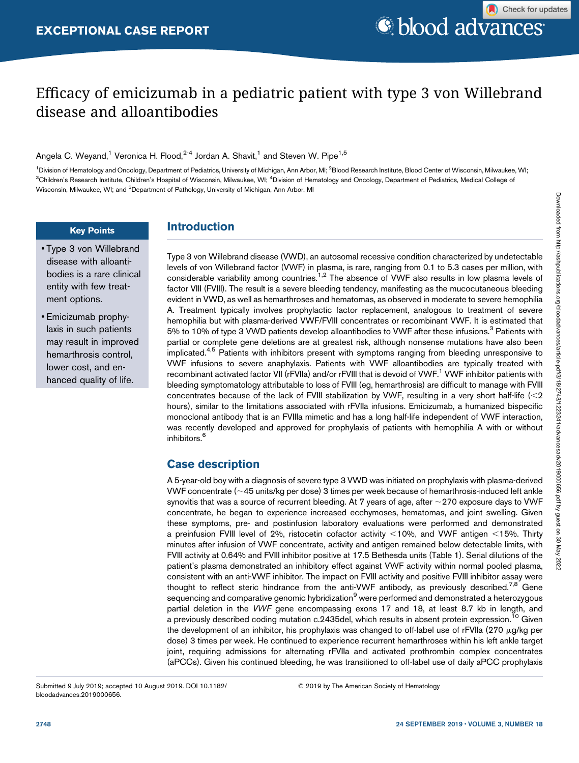# Efficacy of emicizumab in a pediatric patient with type 3 von Willebrand disease and alloantibodies

Angela C. Weyand,<sup>1</sup> Veronica H. Flood,<sup>2-4</sup> Jordan A. Shavit,<sup>1</sup> and Steven W. Pipe<sup>1,5</sup>

<sup>1</sup> Division of Hematology and Oncology, Department of Pediatrics, University of Michigan, Ann Arbor, MI; <sup>2</sup> Blood Research Institute, Blood Center of Wisconsin, Milwaukee, WI; <sup>3</sup>Children's Research Institute, Children's Hospital of Wisconsin, Milwaukee, WI; <sup>4</sup>Division of Hematology and Oncology, Department of Pediatrics, Medical College of Wisconsin, Milwaukee, WI; and <sup>5</sup>Department of Pathology, University of Michigan, Ann Arbor, MI

### Key Points

- Type 3 von Willebrand disease with alloantibodies is a rare clinical entity with few treatment options.
- Emicizumab prophylaxis in such patients may result in improved hemarthrosis control, lower cost, and enhanced quality of life.

# Introduction

Type 3 von Willebrand disease (VWD), an autosomal recessive condition characterized by undetectable levels of von Willebrand factor (VWF) in plasma, is rare, ranging from 0.1 to 5.3 cases per million, with considerable variability among countries.<sup>1,2</sup> The absence of VWF also results in low plasma levels of factor VIII (FVIII). The result is a severe bleeding tendency, manifesting as the mucocutaneous bleeding evident in VWD, as well as hemarthroses and hematomas, as observed in moderate to severe hemophilia A. Treatment typically involves prophylactic factor replacement, analogous to treatment of severe hemophilia but with plasma-derived VWF/FVIII concentrates or recombinant VWF. It is estimated that 5% to 10% of type 3 VWD patients develop alloantibodies to VWF after these infusions.<sup>3</sup> Patients with partial or complete gene deletions are at greatest risk, although nonsense mutations have also been implicated.<sup>4,5</sup> Patients with inhibitors present with symptoms ranging from bleeding unresponsive to VWF infusions to severe anaphylaxis. Patients with VWF alloantibodies are typically treated with recombinant activated factor VII (rFVIIa) and/or rFVIII that is devoid of VWF.<sup>1</sup> VWF inhibitor patients with bleeding symptomatology attributable to loss of FVIII (eg, hemarthrosis) are difficult to manage with FVIII concentrates because of the lack of FVIII stabilization by VWF, resulting in a very short half-life  $\ll$ 2 hours), similar to the limitations associated with rFVIIa infusions. Emicizumab, a humanized bispecific monoclonal antibody that is an FVIIIa mimetic and has a long half-life independent of VWF interaction, was recently developed and approved for prophylaxis of patients with hemophilia A with or without inhibitors.<sup>6</sup>

# Case description

A 5-year-old boy with a diagnosis of severe type 3 VWD was initiated on prophylaxis with plasma-derived VWF concentrate ( $\sim$ 45 units/kg per dose) 3 times per week because of hemarthrosis-induced left ankle synovitis that was a source of recurrent bleeding. At 7 years of age, after  $\sim$  270 exposure days to VWF concentrate, he began to experience increased ecchymoses, hematomas, and joint swelling. Given these symptoms, pre- and postinfusion laboratory evaluations were performed and demonstrated a preinfusion FVIII level of 2%, ristocetin cofactor activity  $<10\%$ , and VWF antigen  $<15\%$ . Thirty minutes after infusion of VWF concentrate, activity and antigen remained below detectable limits, with FVIII activity at 0.64% and FVIII inhibitor positive at 17.5 Bethesda units (Table 1). Serial dilutions of the patient's plasma demonstrated an inhibitory effect against VWF activity within normal pooled plasma, consistent with an anti-VWF inhibitor. The impact on FVIII activity and positive FVIII inhibitor assay were thought to reflect steric hindrance from the anti-VWF antibody, as previously described.<sup>7,8</sup> Gene sequencing and comparative genomic hybridization<sup>9</sup> were performed and demonstrated a heterozygous partial deletion in the VWF gene encompassing exons 17 and 18, at least 8.7 kb in length, and a previously described coding mutation c.2435del, which results in absent protein expression.<sup>10</sup> Given the development of an inhibitor, his prophylaxis was changed to off-label use of rFVIIa (270  $\mu$ g/kg per dose) 3 times per week. He continued to experience recurrent hemarthroses within his left ankle target joint, requiring admissions for alternating rFVIIa and activated prothrombin complex concentrates (aPCCs). Given his continued bleeding, he was transitioned to off-label use of daily aPCC prophylaxis

Submitted 9 July 2019; accepted 10 August 2019. DOI 10.1182/ bloodadvances.2019000656.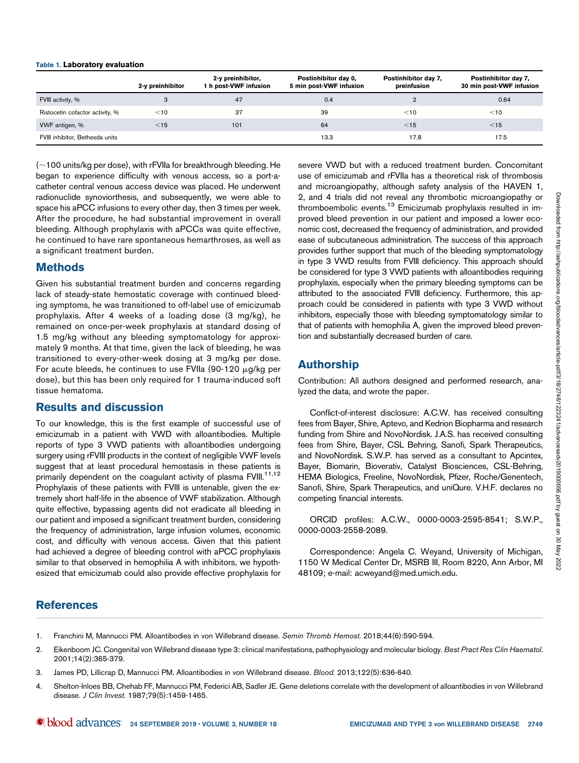#### Table 1. Laboratory evaluation

|                                 | 2-y preinhibitor | 2-y preinhibitor,<br>1 h post-VWF infusion | Postinhibitor day 0,<br>5 min post-VWF infusion | Postinhibitor day 7,<br>preinfusion | Postinhibitor day 7,<br>30 min post-VWF infusion |
|---------------------------------|------------------|--------------------------------------------|-------------------------------------------------|-------------------------------------|--------------------------------------------------|
| FVIII activity, %               |                  | 47                                         | 0.4                                             |                                     | 0.64                                             |
| Ristocetin cofactor activity, % | $<$ 10           | 37                                         | 39                                              | $<$ 10                              | $<$ 10                                           |
| VWF antigen, %                  | $<$ 15           | 101                                        | 64                                              | $<$ 15                              | $<$ 15                                           |
| FVIII inhibitor, Bethesda units |                  |                                            | 13.3                                            | 17.8                                | 17.5                                             |

 $(-100 \text{ units/kg per dose})$ , with rFVIIa for breakthrough bleeding. He began to experience difficulty with venous access, so a port-acatheter central venous access device was placed. He underwent radionuclide synoviorthesis, and subsequently, we were able to space his aPCC infusions to every other day, then 3 times per week. After the procedure, he had substantial improvement in overall bleeding. Although prophylaxis with aPCCs was quite effective, he continued to have rare spontaneous hemarthroses, as well as a significant treatment burden.

### Methods

Given his substantial treatment burden and concerns regarding lack of steady-state hemostatic coverage with continued bleeding symptoms, he was transitioned to off-label use of emicizumab prophylaxis. After 4 weeks of a loading dose (3 mg/kg), he remained on once-per-week prophylaxis at standard dosing of 1.5 mg/kg without any bleeding symptomatology for approximately 9 months. At that time, given the lack of bleeding, he was transitioned to every-other-week dosing at 3 mg/kg per dose. For acute bleeds, he continues to use FVIIa (90-120  $\mu$ g/kg per dose), but this has been only required for 1 trauma-induced soft tissue hematoma.

## Results and discussion

To our knowledge, this is the first example of successful use of emicizumab in a patient with VWD with alloantibodies. Multiple reports of type 3 VWD patients with alloantibodies undergoing surgery using rFVIII products in the context of negligible VWF levels suggest that at least procedural hemostasis in these patients is primarily dependent on the coagulant activity of plasma FVIII.<sup>11,12</sup> Prophylaxis of these patients with FVIII is untenable, given the extremely short half-life in the absence of VWF stabilization. Although quite effective, bypassing agents did not eradicate all bleeding in our patient and imposed a significant treatment burden, considering the frequency of administration, large infusion volumes, economic cost, and difficulty with venous access. Given that this patient had achieved a degree of bleeding control with aPCC prophylaxis similar to that observed in hemophilia A with inhibitors, we hypothesized that emicizumab could also provide effective prophylaxis for

severe VWD but with a reduced treatment burden. Concomitant use of emicizumab and rFVIIa has a theoretical risk of thrombosis and microangiopathy, although safety analysis of the HAVEN 1, 2, and 4 trials did not reveal any thrombotic microangiopathy or thromboembolic events.<sup>13</sup> Emicizumab prophylaxis resulted in improved bleed prevention in our patient and imposed a lower economic cost, decreased the frequency of administration, and provided ease of subcutaneous administration. The success of this approach provides further support that much of the bleeding symptomatology in type 3 VWD results from FVIII deficiency. This approach should be considered for type 3 VWD patients with alloantibodies requiring prophylaxis, especially when the primary bleeding symptoms can be attributed to the associated FVIII deficiency. Furthermore, this approach could be considered in patients with type 3 VWD without inhibitors, especially those with bleeding symptomatology similar to that of patients with hemophilia A, given the improved bleed prevention and substantially decreased burden of care.

# Authorship

Contribution: All authors designed and performed research, analyzed the data, and wrote the paper.

Conflict-of-interest disclosure: A.C.W. has received consulting fees from Bayer, Shire, Aptevo, and Kedrion Biopharma and research funding from Shire and NovoNordisk. J.A.S. has received consulting fees from Shire, Bayer, CSL Behring, Sanofi, Spark Therapeutics, and NovoNordisk. S.W.P. has served as a consultant to Apcintex, Bayer, Biomarin, Bioverativ, Catalyst Biosciences, CSL-Behring, HEMA Biologics, Freeline, NovoNordisk, Pfizer, Roche/Genentech, Sanofi, Shire, Spark Therapeutics, and uniQure. V.H.F. declares no competing financial interests.

ORCID profiles: A.C.W., [0000-0003-2595-8541](http://orcid.org/0000-0003-2595-8541); S.W.P., [0000-0003-2558-2089.](http://orcid.org/0000-0003-2558-2089)

Correspondence: Angela C. Weyand, University of Michigan, 1150 W Medical Center Dr, MSRB III, Room 8220, Ann Arbor, MI 48109; e-mail: [acweyand@med.umich.edu.](mailto:acweyand@med.umich.edu)

## References

- 1. Franchini M, Mannucci PM. Alloantibodies in von Willebrand disease. Semin Thromb Hemost. 2018;44(6):590-594.
- 2. Eikenboom JC. Congenital von Willebrand disease type 3: clinical manifestations, pathophysiology and molecular biology. Best Pract Res Clin Haematol. 2001;14(2):365-379.
- 3. James PD, Lillicrap D, Mannucci PM. Alloantibodies in von Willebrand disease. Blood. 2013;122(5):636-640.
- 4. Shelton-Inloes BB, Chehab FF, Mannucci PM, Federici AB, Sadler JE. Gene deletions correlate with the development of alloantibodies in von Willebrand disease. J Clin Invest. 1987;79(5):1459-1465.